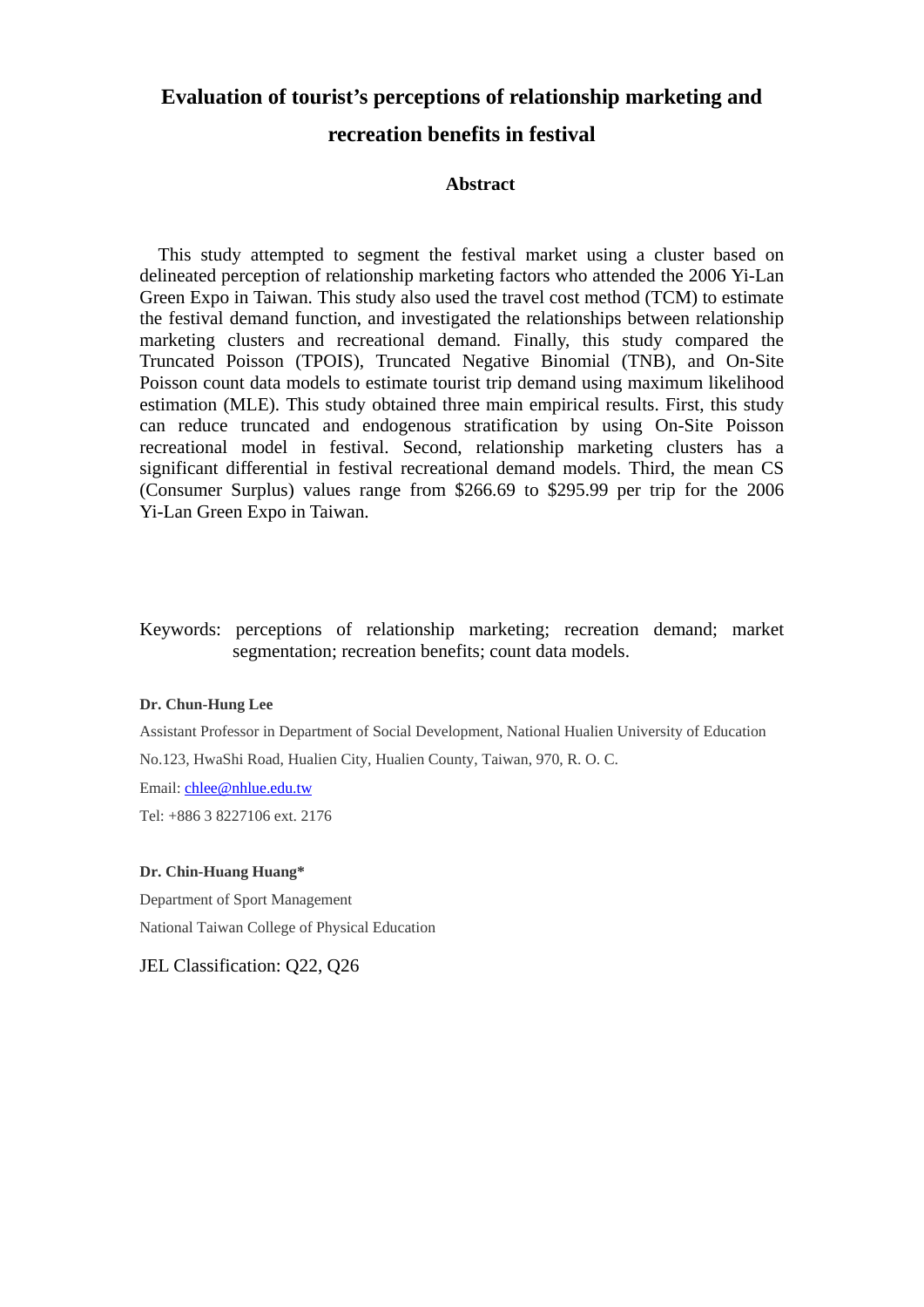# **Evaluation of tourist's perceptions of relationship marketing and**

# **recreation benefits in festival**

# **Abstract**

This study attempted to segment the festival market using a cluster based on delineated perception of relationship marketing factors who attended the 2006 Yi-Lan Green Expo in Taiwan. This study also used the travel cost method (TCM) to estimate the festival demand function, and investigated the relationships between relationship marketing clusters and recreational demand. Finally, this study compared the Truncated Poisson (TPOIS), Truncated Negative Binomial (TNB), and On-Site Poisson count data models to estimate tourist trip demand using maximum likelihood estimation (MLE). This study obtained three main empirical results. First, this study can reduce truncated and endogenous stratification by using On-Site Poisson recreational model in festival. Second, relationship marketing clusters has a significant differential in festival recreational demand models. Third, the mean CS (Consumer Surplus) values range from \$266.69 to \$295.99 per trip for the 2006 Yi-Lan Green Expo in Taiwan.

# Keywords: perceptions of relationship marketing; recreation demand; market segmentation; recreation benefits; count data models.

# **Dr. Chun-Hung Lee**

Assistant Professor in Department of Social Development, National Hualien University of Education

No.123, HwaShi Road, Hualien City, Hualien County, Taiwan, 970, R. O. C.

Email: chlee@nhlue.edu.tw

Tel: +886 3 8227106 ext. 2176

#### **Dr. Chin-Huang Huang\***

Department of Sport Management National Taiwan College of Physical Education

JEL Classification: Q22, Q26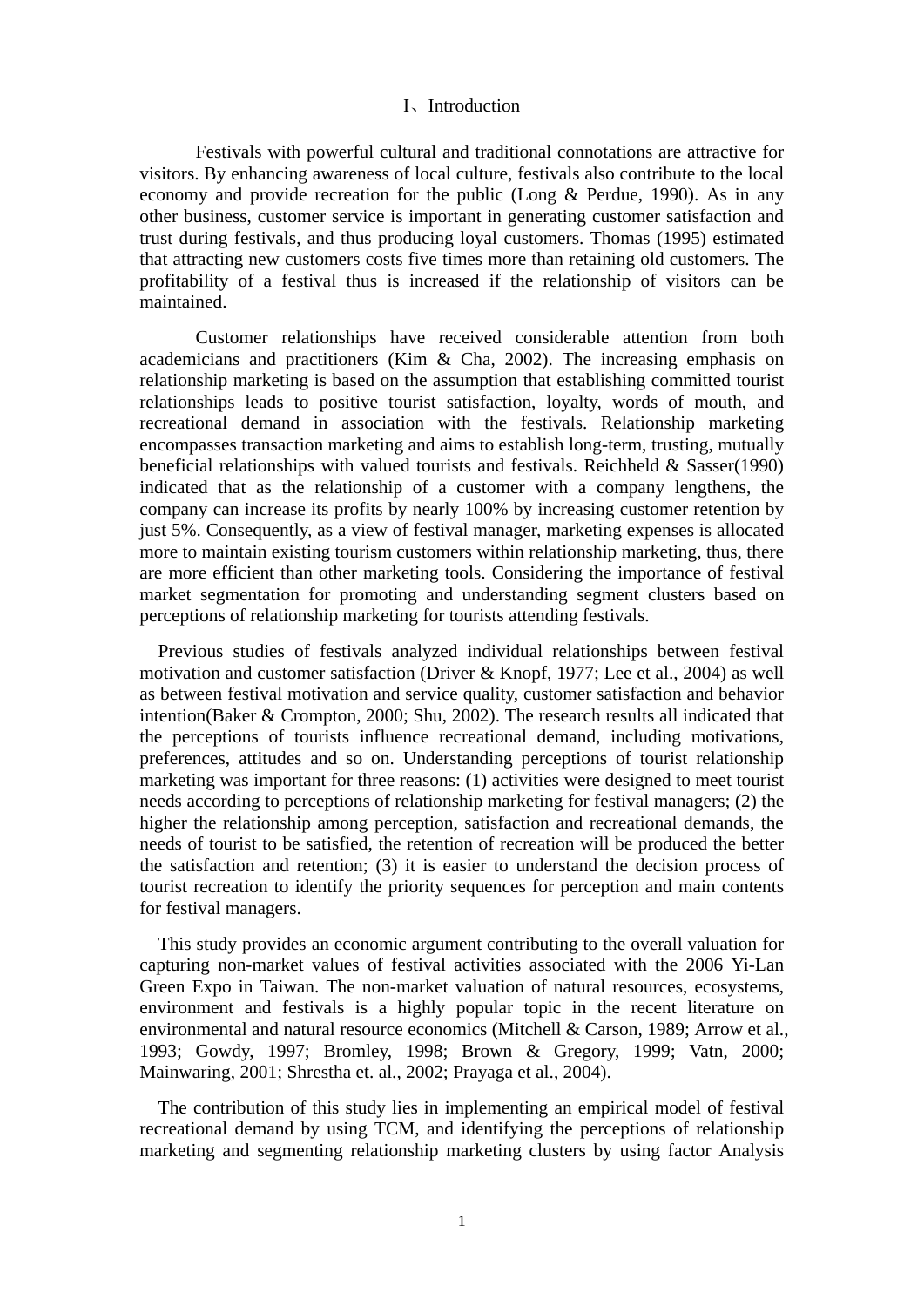#### I、Introduction

 Festivals with powerful cultural and traditional connotations are attractive for visitors. By enhancing awareness of local culture, festivals also contribute to the local economy and provide recreation for the public (Long & Perdue, 1990). As in any other business, customer service is important in generating customer satisfaction and trust during festivals, and thus producing loyal customers. Thomas (1995) estimated that attracting new customers costs five times more than retaining old customers. The profitability of a festival thus is increased if the relationship of visitors can be maintained.

 Customer relationships have received considerable attention from both academicians and practitioners (Kim & Cha, 2002). The increasing emphasis on relationship marketing is based on the assumption that establishing committed tourist relationships leads to positive tourist satisfaction, loyalty, words of mouth, and recreational demand in association with the festivals. Relationship marketing encompasses transaction marketing and aims to establish long-term, trusting, mutually beneficial relationships with valued tourists and festivals. Reichheld & Sasser(1990) indicated that as the relationship of a customer with a company lengthens, the company can increase its profits by nearly 100% by increasing customer retention by just 5%. Consequently, as a view of festival manager, marketing expenses is allocated more to maintain existing tourism customers within relationship marketing, thus, there are more efficient than other marketing tools. Considering the importance of festival market segmentation for promoting and understanding segment clusters based on perceptions of relationship marketing for tourists attending festivals.

Previous studies of festivals analyzed individual relationships between festival motivation and customer satisfaction (Driver & Knopf, 1977; Lee et al., 2004) as well as between festival motivation and service quality, customer satisfaction and behavior intention(Baker & Crompton, 2000; Shu, 2002). The research results all indicated that the perceptions of tourists influence recreational demand, including motivations, preferences, attitudes and so on. Understanding perceptions of tourist relationship marketing was important for three reasons: (1) activities were designed to meet tourist needs according to perceptions of relationship marketing for festival managers; (2) the higher the relationship among perception, satisfaction and recreational demands, the needs of tourist to be satisfied, the retention of recreation will be produced the better the satisfaction and retention; (3) it is easier to understand the decision process of tourist recreation to identify the priority sequences for perception and main contents for festival managers.

This study provides an economic argument contributing to the overall valuation for capturing non-market values of festival activities associated with the 2006 Yi-Lan Green Expo in Taiwan. The non-market valuation of natural resources, ecosystems, environment and festivals is a highly popular topic in the recent literature on environmental and natural resource economics (Mitchell & Carson, 1989; Arrow et al., 1993; Gowdy, 1997; Bromley, 1998; Brown & Gregory, 1999; Vatn, 2000; Mainwaring, 2001; Shrestha et. al., 2002; Prayaga et al., 2004).

The contribution of this study lies in implementing an empirical model of festival recreational demand by using TCM, and identifying the perceptions of relationship marketing and segmenting relationship marketing clusters by using factor Analysis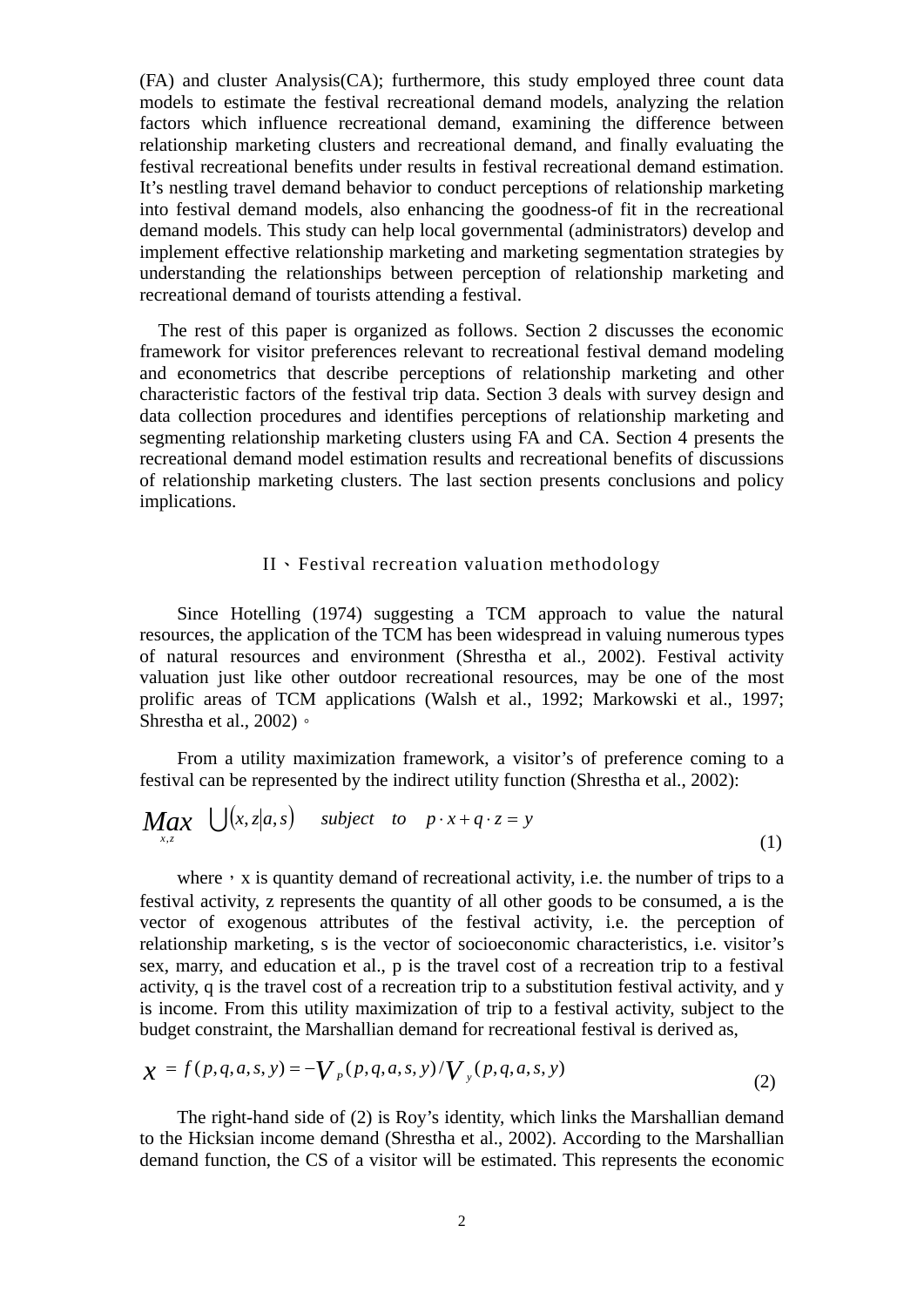(FA) and cluster Analysis(CA); furthermore, this study employed three count data models to estimate the festival recreational demand models, analyzing the relation factors which influence recreational demand, examining the difference between relationship marketing clusters and recreational demand, and finally evaluating the festival recreational benefits under results in festival recreational demand estimation. It's nestling travel demand behavior to conduct perceptions of relationship marketing into festival demand models, also enhancing the goodness-of fit in the recreational demand models. This study can help local governmental (administrators) develop and implement effective relationship marketing and marketing segmentation strategies by understanding the relationships between perception of relationship marketing and recreational demand of tourists attending a festival.

The rest of this paper is organized as follows. Section 2 discusses the economic framework for visitor preferences relevant to recreational festival demand modeling and econometrics that describe perceptions of relationship marketing and other characteristic factors of the festival trip data. Section 3 deals with survey design and data collection procedures and identifies perceptions of relationship marketing and segmenting relationship marketing clusters using FA and CA. Section 4 presents the recreational demand model estimation results and recreational benefits of discussions of relationship marketing clusters. The last section presents conclusions and policy implications.

# II、Festival recreation valuation methodology

Since Hotelling (1974) suggesting a TCM approach to value the natural resources, the application of the TCM has been widespread in valuing numerous types of natural resources and environment (Shrestha et al., 2002). Festival activity valuation just like other outdoor recreational resources, may be one of the most prolific areas of TCM applications (Walsh et al., 1992; Markowski et al., 1997; Shrestha et al., 2002)。

From a utility maximization framework, a visitor's of preference coming to a festival can be represented by the indirect utility function (Shrestha et al., 2002):

$$
Max_{x,z} \bigcup (x,z|a,s) \quad subject \quad to \quad p \cdot x + q \cdot z = y \tag{1}
$$

where,  $x$  is quantity demand of recreational activity, i.e. the number of trips to a festival activity, z represents the quantity of all other goods to be consumed, a is the vector of exogenous attributes of the festival activity, i.e. the perception of relationship marketing, s is the vector of socioeconomic characteristics, i.e. visitor's sex, marry, and education et al., p is the travel cost of a recreation trip to a festival activity, q is the travel cost of a recreation trip to a substitution festival activity, and y is income. From this utility maximization of trip to a festival activity, subject to the budget constraint, the Marshallian demand for recreational festival is derived as,

$$
\chi = f(p,q,a,s,y) = -V_p(p,q,a,s,y)/V_y(p,q,a,s,y)
$$
\n(2)

The right-hand side of (2) is Roy's identity, which links the Marshallian demand to the Hicksian income demand (Shrestha et al., 2002). According to the Marshallian demand function, the CS of a visitor will be estimated. This represents the economic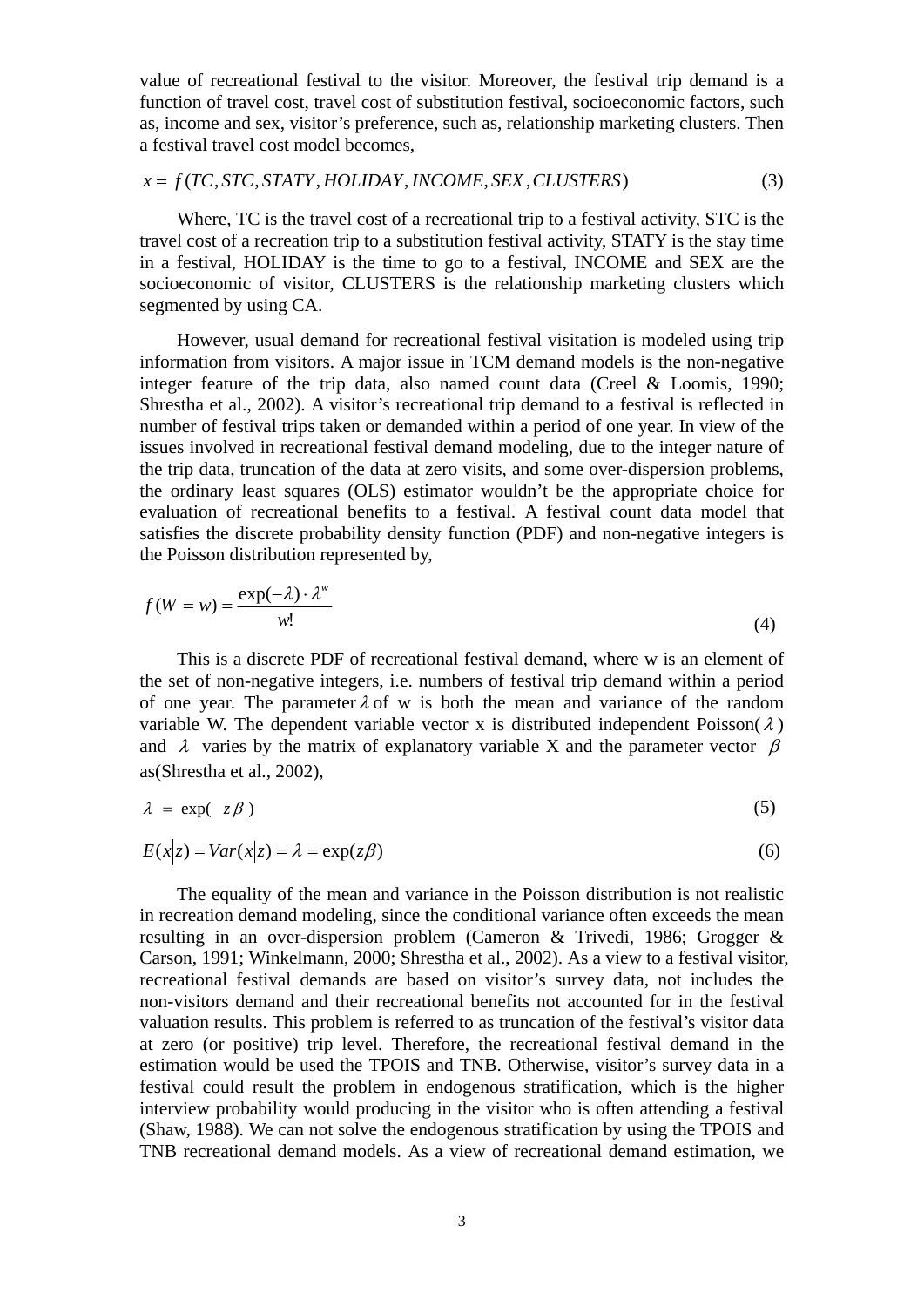value of recreational festival to the visitor. Moreover, the festival trip demand is a function of travel cost, travel cost of substitution festival, socioeconomic factors, such as, income and sex, visitor's preference, such as, relationship marketing clusters. Then a festival travel cost model becomes,

$$
x = f(TC, STC, STATY, HOLIDAY, INCOME, SEX, CLUSTERS)
$$
\n(3)

Where, TC is the travel cost of a recreational trip to a festival activity, STC is the travel cost of a recreation trip to a substitution festival activity, STATY is the stay time in a festival, HOLIDAY is the time to go to a festival, INCOME and SEX are the socioeconomic of visitor, CLUSTERS is the relationship marketing clusters which segmented by using CA.

However, usual demand for recreational festival visitation is modeled using trip information from visitors. A major issue in TCM demand models is the non-negative integer feature of the trip data, also named count data (Creel & Loomis, 1990; Shrestha et al., 2002). A visitor's recreational trip demand to a festival is reflected in number of festival trips taken or demanded within a period of one year. In view of the issues involved in recreational festival demand modeling, due to the integer nature of the trip data, truncation of the data at zero visits, and some over-dispersion problems, the ordinary least squares (OLS) estimator wouldn't be the appropriate choice for evaluation of recreational benefits to a festival. A festival count data model that satisfies the discrete probability density function (PDF) and non-negative integers is the Poisson distribution represented by,

$$
f(W = w) = \frac{\exp(-\lambda) \cdot \lambda^w}{w!}
$$
 (4)

This is a discrete PDF of recreational festival demand, where w is an element of the set of non-negative integers, i.e. numbers of festival trip demand within a period of one year. The parameter  $\lambda$  of w is both the mean and variance of the random variable W. The dependent variable vector x is distributed independent Poisson( $\lambda$ ) and  $\lambda$  varies by the matrix of explanatory variable X and the parameter vector  $\beta$ as(Shrestha et al., 2002),

$$
\lambda = \exp(-z\beta) \tag{5}
$$

$$
E(x|z) = Var(x|z) = \lambda = \exp(z\beta)
$$
\n(6)

The equality of the mean and variance in the Poisson distribution is not realistic in recreation demand modeling, since the conditional variance often exceeds the mean resulting in an over-dispersion problem (Cameron & Trivedi, 1986; Grogger & Carson, 1991; Winkelmann, 2000; Shrestha et al., 2002). As a view to a festival visitor, recreational festival demands are based on visitor's survey data, not includes the non-visitors demand and their recreational benefits not accounted for in the festival valuation results. This problem is referred to as truncation of the festival's visitor data at zero (or positive) trip level. Therefore, the recreational festival demand in the estimation would be used the TPOIS and TNB. Otherwise, visitor's survey data in a festival could result the problem in endogenous stratification, which is the higher interview probability would producing in the visitor who is often attending a festival (Shaw, 1988). We can not solve the endogenous stratification by using the TPOIS and TNB recreational demand models. As a view of recreational demand estimation, we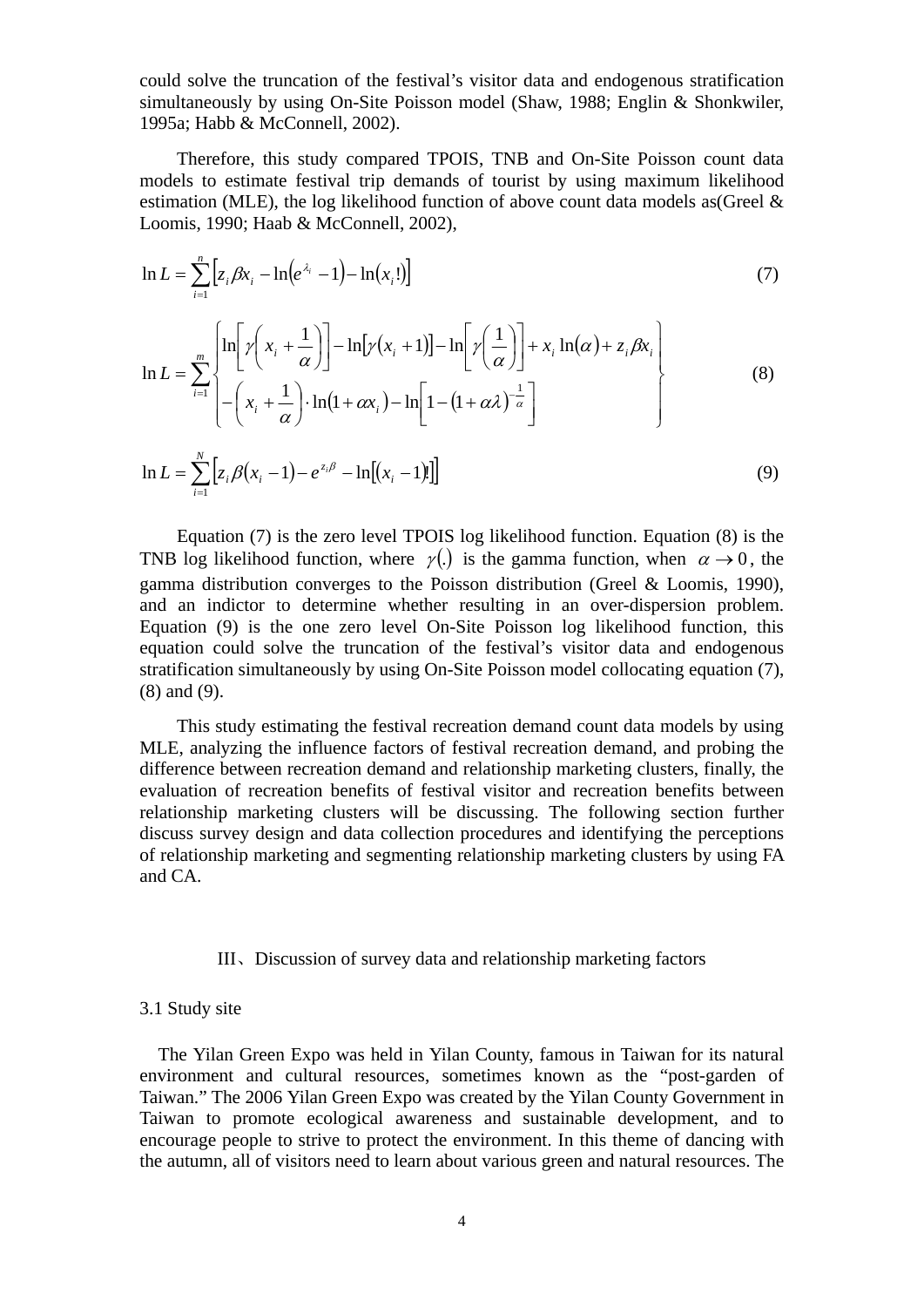could solve the truncation of the festival's visitor data and endogenous stratification simultaneously by using On-Site Poisson model (Shaw, 1988; Englin & Shonkwiler, 1995a; Habb & McConnell, 2002).

Therefore, this study compared TPOIS, TNB and On-Site Poisson count data models to estimate festival trip demands of tourist by using maximum likelihood estimation (MLE), the log likelihood function of above count data models as (Greel  $\&$ Loomis, 1990; Haab & McConnell, 2002),

$$
\ln L = \sum_{i=1}^{n} \left[ z_i \beta x_i - \ln(e^{\lambda_i} - 1) - \ln(x_i!) \right]
$$
\n
$$
\ln L = \sum_{i=1}^{m} \left\{ \ln \left[ \gamma \left( x_i + \frac{1}{\alpha} \right) \right] - \ln \left[ \gamma (x_i + 1) \right] - \ln \left[ \gamma \left( \frac{1}{\alpha} \right) \right] + x_i \ln(\alpha) + z_i \beta x_i \right\}
$$
\n
$$
\ln L = \sum_{i=1}^{m} \left\{ - \left( x_i + \frac{1}{\alpha} \right) \cdot \ln(1 + \alpha x_i) - \ln \left[ 1 - (1 + \alpha \lambda)^{-\frac{1}{\alpha}} \right] \right\}
$$
\n(8)

$$
\ln L = \sum_{i=1}^{N} \left[ z_i \beta (x_i - 1) - e^{z_i \beta} - \ln[(x_i - 1)!] \right]
$$
 (9)

Equation (7) is the zero level TPOIS log likelihood function. Equation (8) is the TNB log likelihood function, where  $\gamma$ (.) is the gamma function, when  $\alpha \rightarrow 0$ , the gamma distribution converges to the Poisson distribution (Greel & Loomis, 1990), and an indictor to determine whether resulting in an over-dispersion problem. Equation (9) is the one zero level On-Site Poisson log likelihood function, this equation could solve the truncation of the festival's visitor data and endogenous stratification simultaneously by using On-Site Poisson model collocating equation (7), (8) and (9).

This study estimating the festival recreation demand count data models by using MLE, analyzing the influence factors of festival recreation demand, and probing the difference between recreation demand and relationship marketing clusters, finally, the evaluation of recreation benefits of festival visitor and recreation benefits between relationship marketing clusters will be discussing. The following section further discuss survey design and data collection procedures and identifying the perceptions of relationship marketing and segmenting relationship marketing clusters by using FA and CA.

#### III、Discussion of survey data and relationship marketing factors

### 3.1 Study site

⎝

α

The Yilan Green Expo was held in Yilan County, famous in Taiwan for its natural environment and cultural resources, sometimes known as the "post-garden of Taiwan." The 2006 Yilan Green Expo was created by the Yilan County Government in Taiwan to promote ecological awareness and sustainable development, and to encourage people to strive to protect the environment. In this theme of dancing with the autumn, all of visitors need to learn about various green and natural resources. The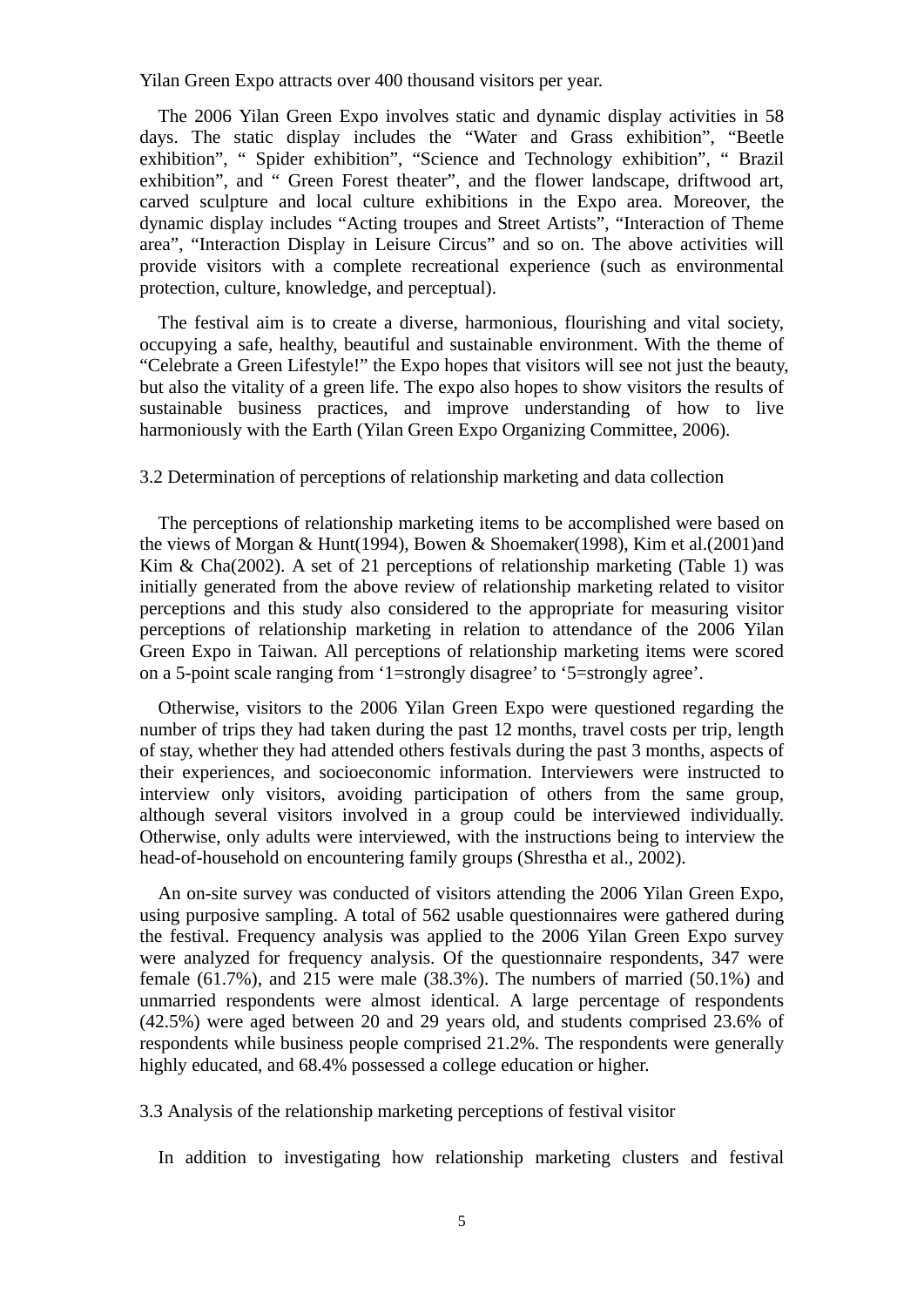Yilan Green Expo attracts over 400 thousand visitors per year.

The 2006 Yilan Green Expo involves static and dynamic display activities in 58 days. The static display includes the "Water and Grass exhibition", "Beetle exhibition", " Spider exhibition", "Science and Technology exhibition", " Brazil exhibition", and " Green Forest theater", and the flower landscape, driftwood art, carved sculpture and local culture exhibitions in the Expo area. Moreover, the dynamic display includes "Acting troupes and Street Artists", "Interaction of Theme area", "Interaction Display in Leisure Circus" and so on. The above activities will provide visitors with a complete recreational experience (such as environmental protection, culture, knowledge, and perceptual).

The festival aim is to create a diverse, harmonious, flourishing and vital society, occupying a safe, healthy, beautiful and sustainable environment. With the theme of "Celebrate a Green Lifestyle!" the Expo hopes that visitors will see not just the beauty, but also the vitality of a green life. The expo also hopes to show visitors the results of sustainable business practices, and improve understanding of how to live harmoniously with the Earth (Yilan Green Expo Organizing Committee, 2006).

#### 3.2 Determination of perceptions of relationship marketing and data collection

The perceptions of relationship marketing items to be accomplished were based on the views of Morgan & Hunt(1994), Bowen & Shoemaker(1998), Kim et al.(2001)and Kim & Cha(2002). A set of 21 perceptions of relationship marketing (Table 1) was initially generated from the above review of relationship marketing related to visitor perceptions and this study also considered to the appropriate for measuring visitor perceptions of relationship marketing in relation to attendance of the 2006 Yilan Green Expo in Taiwan. All perceptions of relationship marketing items were scored on a 5-point scale ranging from '1=strongly disagree' to '5=strongly agree'.

Otherwise, visitors to the 2006 Yilan Green Expo were questioned regarding the number of trips they had taken during the past 12 months, travel costs per trip, length of stay, whether they had attended others festivals during the past 3 months, aspects of their experiences, and socioeconomic information. Interviewers were instructed to interview only visitors, avoiding participation of others from the same group, although several visitors involved in a group could be interviewed individually. Otherwise, only adults were interviewed, with the instructions being to interview the head-of-household on encountering family groups (Shrestha et al., 2002).

An on-site survey was conducted of visitors attending the 2006 Yilan Green Expo, using purposive sampling. A total of 562 usable questionnaires were gathered during the festival. Frequency analysis was applied to the 2006 Yilan Green Expo survey were analyzed for frequency analysis. Of the questionnaire respondents, 347 were female (61.7%), and 215 were male (38.3%). The numbers of married (50.1%) and unmarried respondents were almost identical. A large percentage of respondents (42.5%) were aged between 20 and 29 years old, and students comprised 23.6% of respondents while business people comprised 21.2%. The respondents were generally highly educated, and 68.4% possessed a college education or higher.

3.3 Analysis of the relationship marketing perceptions of festival visitor

In addition to investigating how relationship marketing clusters and festival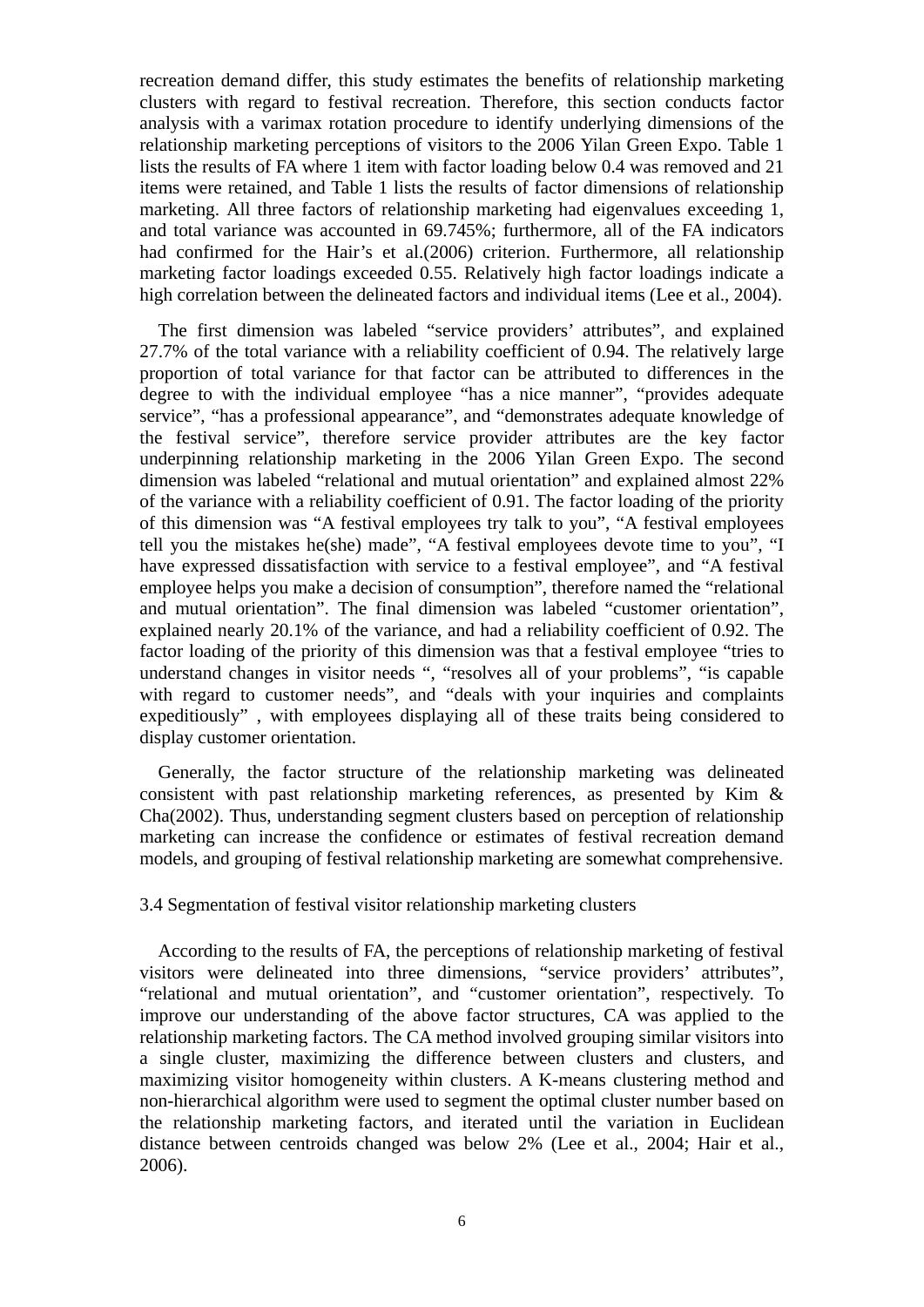recreation demand differ, this study estimates the benefits of relationship marketing clusters with regard to festival recreation. Therefore, this section conducts factor analysis with a varimax rotation procedure to identify underlying dimensions of the relationship marketing perceptions of visitors to the 2006 Yilan Green Expo. Table 1 lists the results of FA where 1 item with factor loading below 0.4 was removed and 21 items were retained, and Table 1 lists the results of factor dimensions of relationship marketing. All three factors of relationship marketing had eigenvalues exceeding 1, and total variance was accounted in 69.745%; furthermore, all of the FA indicators had confirmed for the Hair's et al.(2006) criterion. Furthermore, all relationship marketing factor loadings exceeded 0.55. Relatively high factor loadings indicate a high correlation between the delineated factors and individual items (Lee et al., 2004).

The first dimension was labeled "service providers' attributes", and explained 27.7% of the total variance with a reliability coefficient of 0.94. The relatively large proportion of total variance for that factor can be attributed to differences in the degree to with the individual employee "has a nice manner", "provides adequate service", "has a professional appearance", and "demonstrates adequate knowledge of the festival service", therefore service provider attributes are the key factor underpinning relationship marketing in the 2006 Yilan Green Expo. The second dimension was labeled "relational and mutual orientation" and explained almost 22% of the variance with a reliability coefficient of 0.91. The factor loading of the priority of this dimension was "A festival employees try talk to you", "A festival employees tell you the mistakes he(she) made", "A festival employees devote time to you", "I have expressed dissatisfaction with service to a festival employee", and "A festival employee helps you make a decision of consumption", therefore named the "relational and mutual orientation". The final dimension was labeled "customer orientation", explained nearly 20.1% of the variance, and had a reliability coefficient of 0.92. The factor loading of the priority of this dimension was that a festival employee "tries to understand changes in visitor needs ", "resolves all of your problems", "is capable with regard to customer needs", and "deals with your inquiries and complaints expeditiously" , with employees displaying all of these traits being considered to display customer orientation.

Generally, the factor structure of the relationship marketing was delineated consistent with past relationship marketing references, as presented by Kim & Cha(2002). Thus, understanding segment clusters based on perception of relationship marketing can increase the confidence or estimates of festival recreation demand models, and grouping of festival relationship marketing are somewhat comprehensive.

# 3.4 Segmentation of festival visitor relationship marketing clusters

According to the results of FA, the perceptions of relationship marketing of festival visitors were delineated into three dimensions, "service providers' attributes", "relational and mutual orientation", and "customer orientation", respectively. To improve our understanding of the above factor structures, CA was applied to the relationship marketing factors. The CA method involved grouping similar visitors into a single cluster, maximizing the difference between clusters and clusters, and maximizing visitor homogeneity within clusters. A K-means clustering method and non-hierarchical algorithm were used to segment the optimal cluster number based on the relationship marketing factors, and iterated until the variation in Euclidean distance between centroids changed was below 2% (Lee et al., 2004; Hair et al., 2006).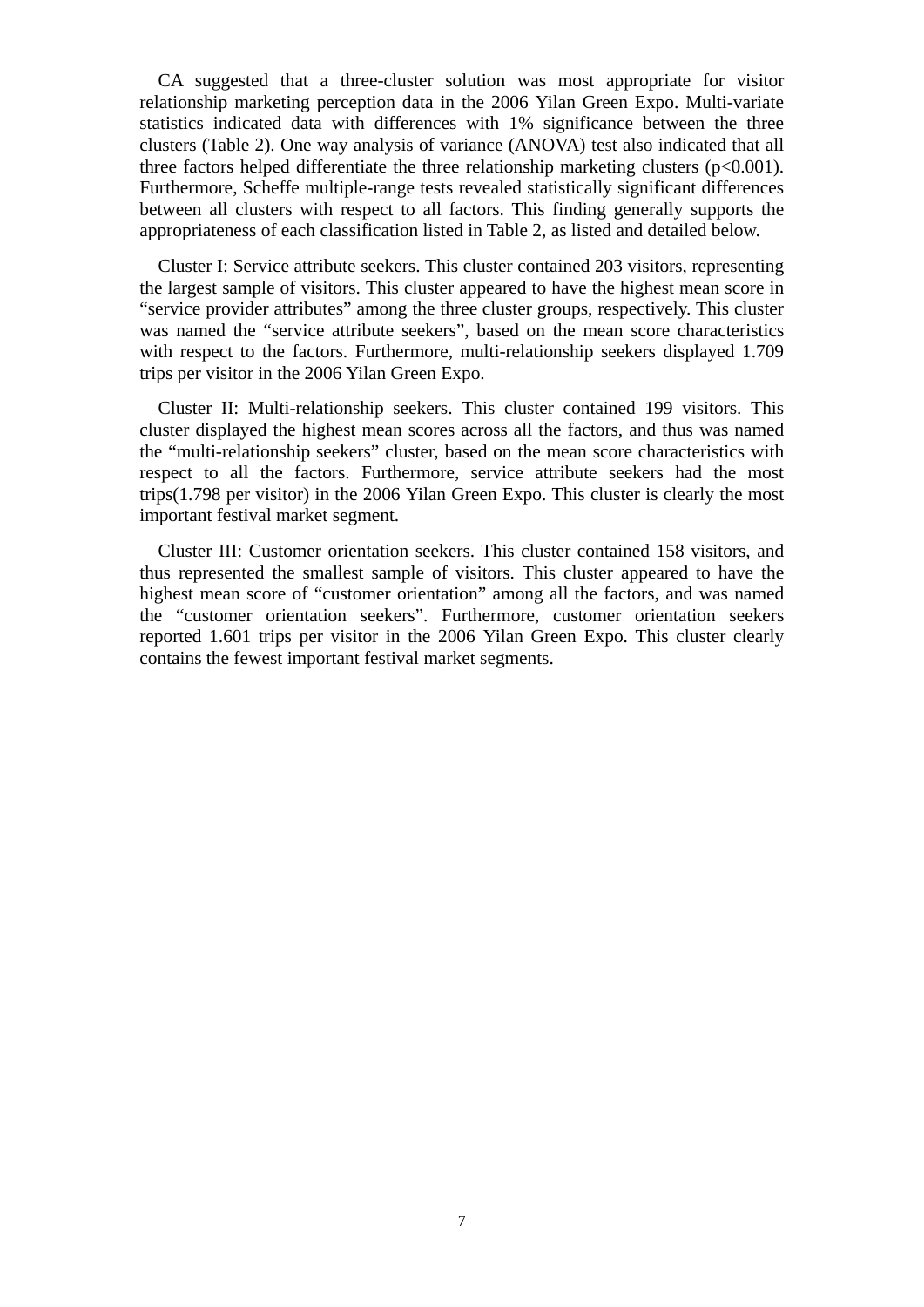CA suggested that a three-cluster solution was most appropriate for visitor relationship marketing perception data in the 2006 Yilan Green Expo. Multi-variate statistics indicated data with differences with 1% significance between the three clusters (Table 2). One way analysis of variance (ANOVA) test also indicated that all three factors helped differentiate the three relationship marketing clusters  $(p<0.001)$ . Furthermore, Scheffe multiple-range tests revealed statistically significant differences between all clusters with respect to all factors. This finding generally supports the appropriateness of each classification listed in Table 2, as listed and detailed below.

Cluster I: Service attribute seekers. This cluster contained 203 visitors, representing the largest sample of visitors. This cluster appeared to have the highest mean score in "service provider attributes" among the three cluster groups, respectively. This cluster was named the "service attribute seekers", based on the mean score characteristics with respect to the factors. Furthermore, multi-relationship seekers displayed 1.709 trips per visitor in the 2006 Yilan Green Expo.

Cluster II: Multi-relationship seekers. This cluster contained 199 visitors. This cluster displayed the highest mean scores across all the factors, and thus was named the "multi-relationship seekers" cluster, based on the mean score characteristics with respect to all the factors. Furthermore, service attribute seekers had the most trips(1.798 per visitor) in the 2006 Yilan Green Expo. This cluster is clearly the most important festival market segment.

Cluster III: Customer orientation seekers. This cluster contained 158 visitors, and thus represented the smallest sample of visitors. This cluster appeared to have the highest mean score of "customer orientation" among all the factors, and was named the "customer orientation seekers". Furthermore, customer orientation seekers reported 1.601 trips per visitor in the 2006 Yilan Green Expo. This cluster clearly contains the fewest important festival market segments.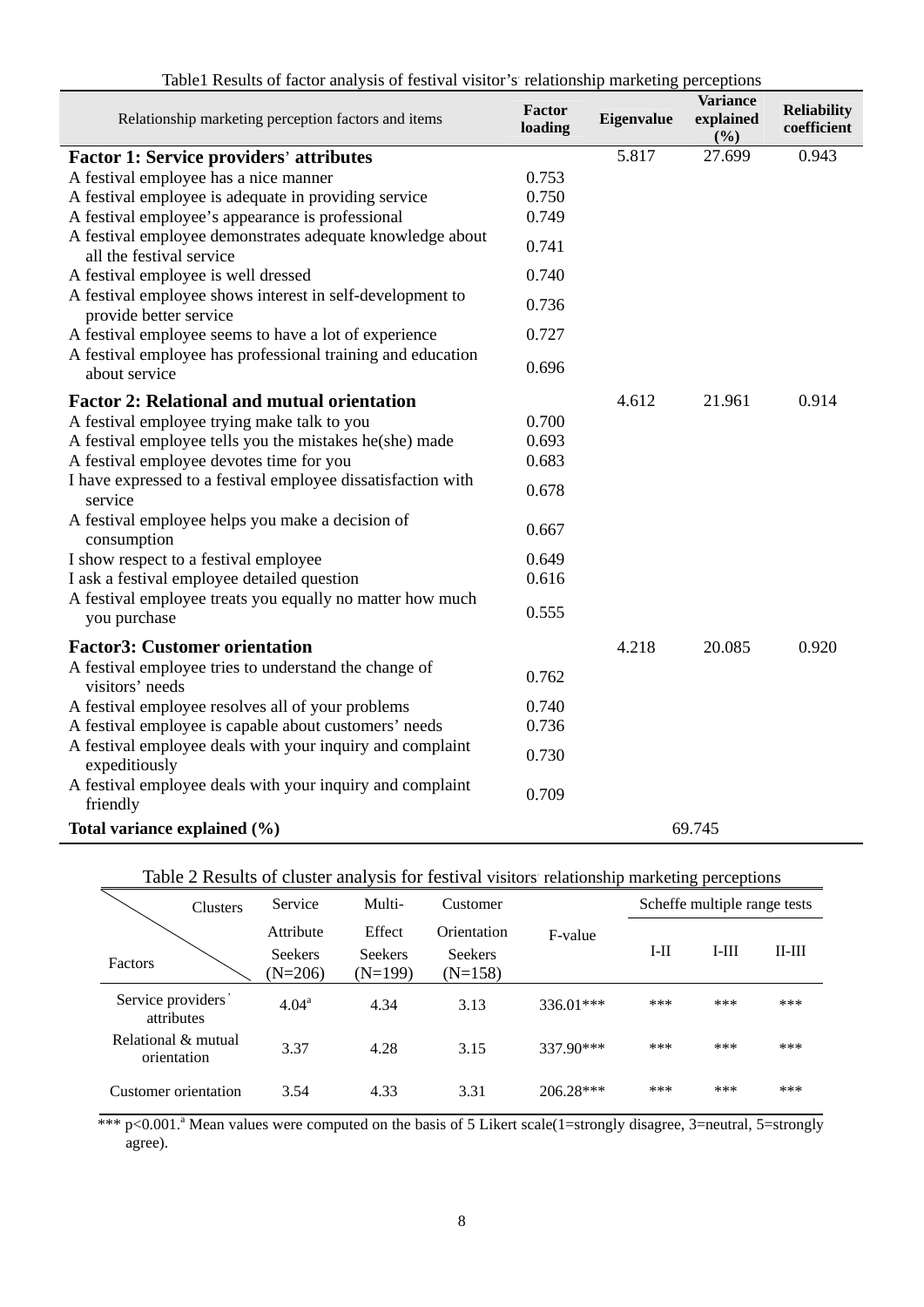|  |  |  |  | Table1 Results of factor analysis of festival visitor's relationship marketing perceptions |
|--|--|--|--|--------------------------------------------------------------------------------------------|
|  |  |  |  |                                                                                            |

| Relationship marketing perception factors and items                                   | Factor<br>loading | Eigenvalue | <b>Variance</b><br>explained<br>(%) | <b>Reliability</b><br>coefficient |
|---------------------------------------------------------------------------------------|-------------------|------------|-------------------------------------|-----------------------------------|
| <b>Factor 1: Service providers' attributes</b>                                        |                   | 5.817      | 27.699                              | 0.943                             |
| A festival employee has a nice manner                                                 | 0.753             |            |                                     |                                   |
| A festival employee is adequate in providing service                                  | 0.750             |            |                                     |                                   |
| A festival employee's appearance is professional                                      | 0.749             |            |                                     |                                   |
| A festival employee demonstrates adequate knowledge about<br>all the festival service | 0.741             |            |                                     |                                   |
| A festival employee is well dressed                                                   | 0.740             |            |                                     |                                   |
| A festival employee shows interest in self-development to<br>provide better service   | 0.736             |            |                                     |                                   |
| A festival employee seems to have a lot of experience                                 | 0.727             |            |                                     |                                   |
| A festival employee has professional training and education<br>about service          | 0.696             |            |                                     |                                   |
| <b>Factor 2: Relational and mutual orientation</b>                                    |                   | 4.612      | 21.961                              | 0.914                             |
| A festival employee trying make talk to you                                           | 0.700             |            |                                     |                                   |
| A festival employee tells you the mistakes he(she) made                               | 0.693             |            |                                     |                                   |
| A festival employee devotes time for you                                              | 0.683             |            |                                     |                                   |
| I have expressed to a festival employee dissatisfaction with<br>service               | 0.678             |            |                                     |                                   |
| A festival employee helps you make a decision of<br>consumption                       | 0.667             |            |                                     |                                   |
| I show respect to a festival employee                                                 | 0.649             |            |                                     |                                   |
| I ask a festival employee detailed question                                           | 0.616             |            |                                     |                                   |
| A festival employee treats you equally no matter how much<br>you purchase             | 0.555             |            |                                     |                                   |
| <b>Factor3: Customer orientation</b>                                                  |                   | 4.218      | 20.085                              | 0.920                             |
| A festival employee tries to understand the change of<br>visitors' needs              | 0.762             |            |                                     |                                   |
| A festival employee resolves all of your problems                                     | 0.740             |            |                                     |                                   |
| A festival employee is capable about customers' needs                                 | 0.736             |            |                                     |                                   |
| A festival employee deals with your inquiry and complaint<br>expeditiously            | 0.730             |            |                                     |                                   |
| A festival employee deals with your inquiry and complaint<br>friendly                 | 0.709             |            |                                     |                                   |
| Total variance explained (%)                                                          |                   |            | 69.745                              |                                   |

# Table 2 Results of cluster analysis for festival visitors relationship marketing perceptions

|                                    | <b>Clusters</b> | Service                     | Multi-                      | Customer                    |             |        | Scheffe multiple range tests |          |
|------------------------------------|-----------------|-----------------------------|-----------------------------|-----------------------------|-------------|--------|------------------------------|----------|
|                                    |                 | Attribute                   | Effect                      | Orientation                 | F-value     | $I-II$ | $I-III$                      | $II-III$ |
| Factors                            |                 | <b>Seekers</b><br>$(N=206)$ | <b>Seekers</b><br>$(N=199)$ | <b>Seekers</b><br>$(N=158)$ |             |        |                              |          |
| Service providers<br>attributes    |                 | 4.04 <sup>a</sup>           | 4.34                        | 3.13                        | $336.01***$ | ***    | ***                          | ***      |
| Relational & mutual<br>orientation |                 | 3.37                        | 4.28                        | 3.15                        | 337.90***   | ***    | ***                          | ***      |
| Customer orientation               |                 | 3.54                        | 4.33                        | 3.31                        | 206.28***   | ***    | ***                          | ***      |

 $***$  p<0.001.<sup>a</sup> Mean values were computed on the basis of 5 Likert scale(1=strongly disagree, 3=neutral, 5=strongly agree).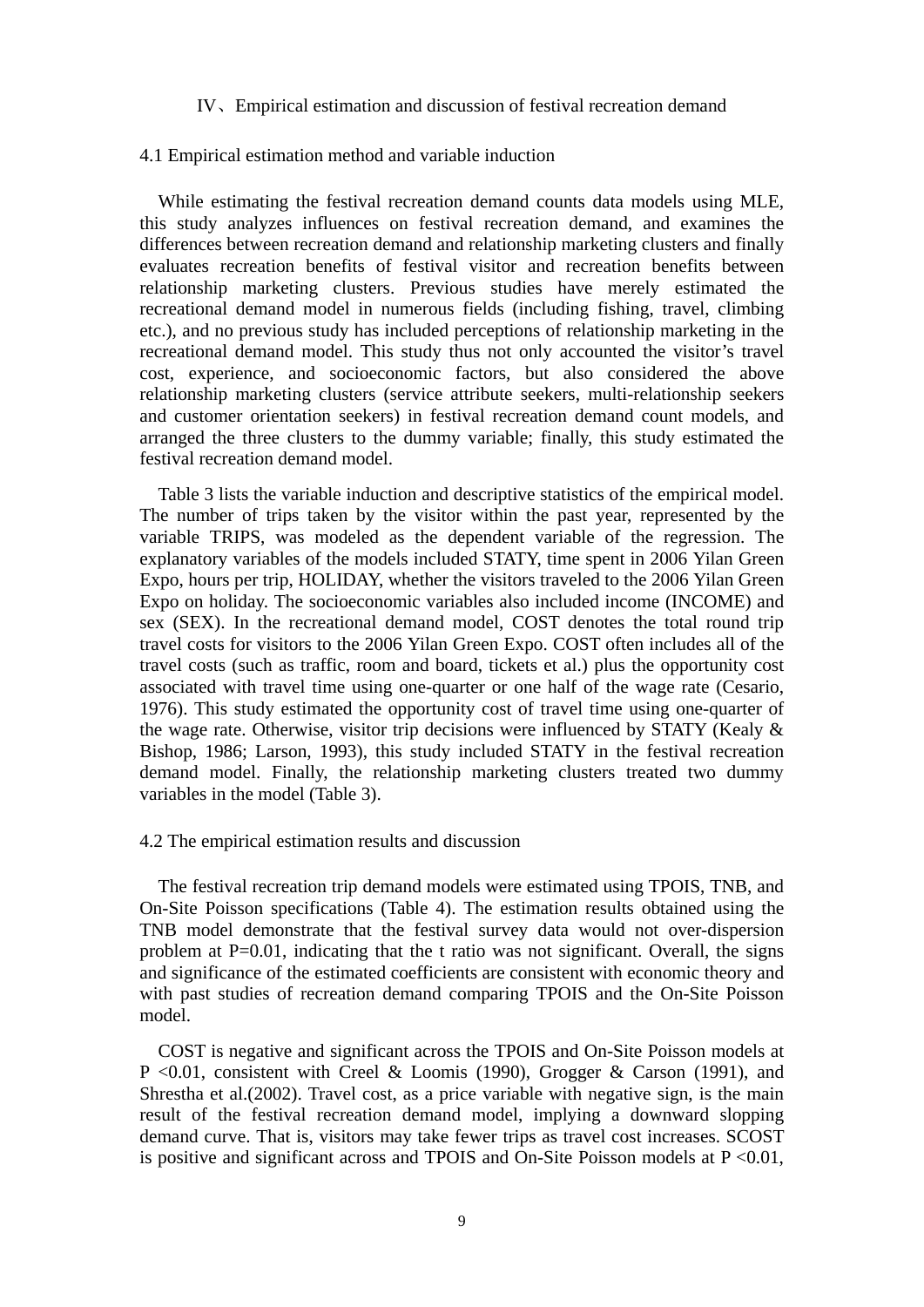#### IV、Empirical estimation and discussion of festival recreation demand

#### 4.1 Empirical estimation method and variable induction

While estimating the festival recreation demand counts data models using MLE, this study analyzes influences on festival recreation demand, and examines the differences between recreation demand and relationship marketing clusters and finally evaluates recreation benefits of festival visitor and recreation benefits between relationship marketing clusters. Previous studies have merely estimated the recreational demand model in numerous fields (including fishing, travel, climbing etc.), and no previous study has included perceptions of relationship marketing in the recreational demand model. This study thus not only accounted the visitor's travel cost, experience, and socioeconomic factors, but also considered the above relationship marketing clusters (service attribute seekers, multi-relationship seekers and customer orientation seekers) in festival recreation demand count models, and arranged the three clusters to the dummy variable; finally, this study estimated the festival recreation demand model.

Table 3 lists the variable induction and descriptive statistics of the empirical model. The number of trips taken by the visitor within the past year, represented by the variable TRIPS, was modeled as the dependent variable of the regression. The explanatory variables of the models included STATY, time spent in 2006 Yilan Green Expo, hours per trip, HOLIDAY, whether the visitors traveled to the 2006 Yilan Green Expo on holiday. The socioeconomic variables also included income (INCOME) and sex (SEX). In the recreational demand model, COST denotes the total round trip travel costs for visitors to the 2006 Yilan Green Expo. COST often includes all of the travel costs (such as traffic, room and board, tickets et al.) plus the opportunity cost associated with travel time using one-quarter or one half of the wage rate (Cesario, 1976). This study estimated the opportunity cost of travel time using one-quarter of the wage rate. Otherwise, visitor trip decisions were influenced by STATY (Kealy & Bishop, 1986; Larson, 1993), this study included STATY in the festival recreation demand model. Finally, the relationship marketing clusters treated two dummy variables in the model (Table 3).

#### 4.2 The empirical estimation results and discussion

The festival recreation trip demand models were estimated using TPOIS, TNB, and On-Site Poisson specifications (Table 4). The estimation results obtained using the TNB model demonstrate that the festival survey data would not over-dispersion problem at P=0.01, indicating that the t ratio was not significant. Overall, the signs and significance of the estimated coefficients are consistent with economic theory and with past studies of recreation demand comparing TPOIS and the On-Site Poisson model.

COST is negative and significant across the TPOIS and On-Site Poisson models at P <0.01, consistent with Creel & Loomis (1990), Grogger & Carson (1991), and Shrestha et al.(2002). Travel cost, as a price variable with negative sign, is the main result of the festival recreation demand model, implying a downward slopping demand curve. That is, visitors may take fewer trips as travel cost increases. SCOST is positive and significant across and TPOIS and On-Site Poisson models at  $P \le 0.01$ ,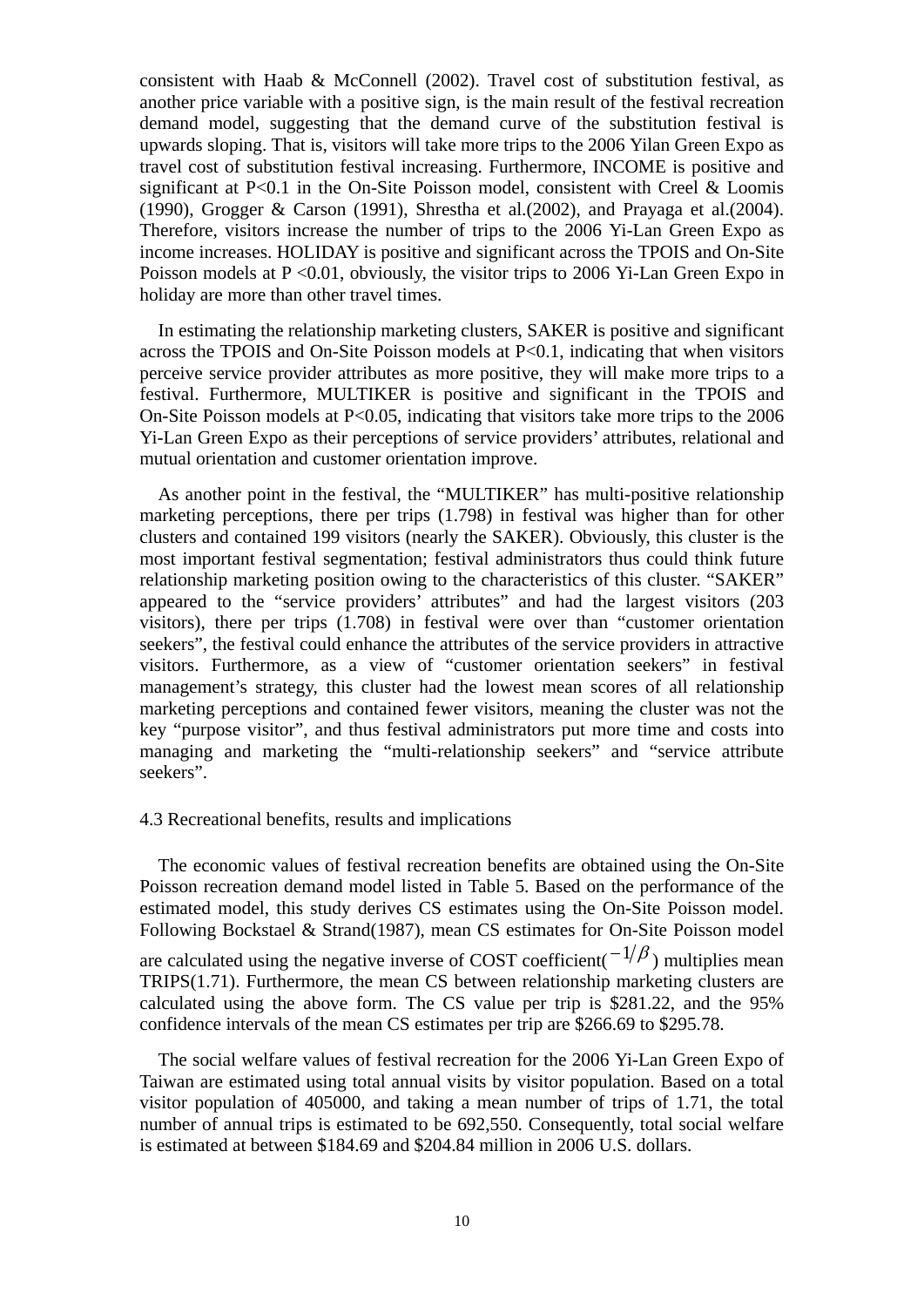consistent with Haab & McConnell (2002). Travel cost of substitution festival, as another price variable with a positive sign, is the main result of the festival recreation demand model, suggesting that the demand curve of the substitution festival is upwards sloping. That is, visitors will take more trips to the 2006 Yilan Green Expo as travel cost of substitution festival increasing. Furthermore, INCOME is positive and significant at P<0.1 in the On-Site Poisson model, consistent with Creel & Loomis (1990), Grogger & Carson (1991), Shrestha et al.(2002), and Prayaga et al.(2004). Therefore, visitors increase the number of trips to the 2006 Yi-Lan Green Expo as income increases. HOLIDAY is positive and significant across the TPOIS and On-Site Poisson models at P < 0.01, obviously, the visitor trips to 2006 Yi-Lan Green Expo in holiday are more than other travel times.

In estimating the relationship marketing clusters, SAKER is positive and significant across the TPOIS and On-Site Poisson models at  $P<0.1$ , indicating that when visitors perceive service provider attributes as more positive, they will make more trips to a festival. Furthermore, MULTIKER is positive and significant in the TPOIS and On-Site Poisson models at P<0.05, indicating that visitors take more trips to the 2006 Yi-Lan Green Expo as their perceptions of service providers' attributes, relational and mutual orientation and customer orientation improve.

As another point in the festival, the "MULTIKER" has multi-positive relationship marketing perceptions, there per trips (1.798) in festival was higher than for other clusters and contained 199 visitors (nearly the SAKER). Obviously, this cluster is the most important festival segmentation; festival administrators thus could think future relationship marketing position owing to the characteristics of this cluster. "SAKER" appeared to the "service providers' attributes" and had the largest visitors (203 visitors), there per trips (1.708) in festival were over than "customer orientation seekers", the festival could enhance the attributes of the service providers in attractive visitors. Furthermore, as a view of "customer orientation seekers" in festival management's strategy, this cluster had the lowest mean scores of all relationship marketing perceptions and contained fewer visitors, meaning the cluster was not the key "purpose visitor", and thus festival administrators put more time and costs into managing and marketing the "multi-relationship seekers" and "service attribute seekers".

### 4.3 Recreational benefits, results and implications

The economic values of festival recreation benefits are obtained using the On-Site Poisson recreation demand model listed in Table 5. Based on the performance of the estimated model, this study derives CS estimates using the On-Site Poisson model. Following Bockstael & Strand(1987), mean CS estimates for On-Site Poisson model are calculated using the negative inverse of COST coefficient( $-\frac{1}{\beta}$ ) multiplies mean TRIPS(1.71). Furthermore, the mean CS between relationship marketing clusters are calculated using the above form. The CS value per trip is \$281.22, and the 95% confidence intervals of the mean CS estimates per trip are \$266.69 to \$295.78.

The social welfare values of festival recreation for the 2006 Yi-Lan Green Expo of Taiwan are estimated using total annual visits by visitor population. Based on a total visitor population of 405000, and taking a mean number of trips of 1.71, the total number of annual trips is estimated to be 692,550. Consequently, total social welfare is estimated at between \$184.69 and \$204.84 million in 2006 U.S. dollars.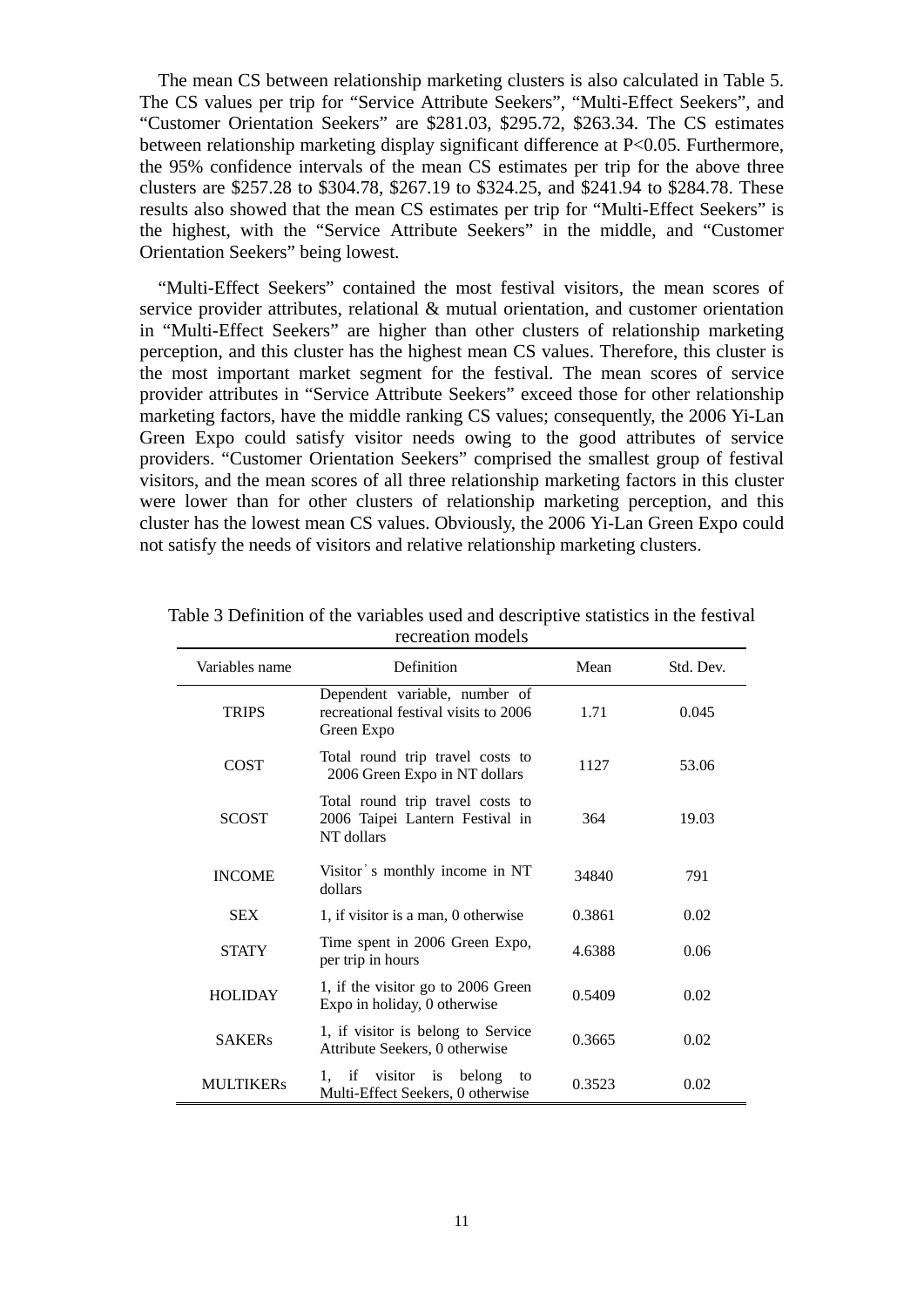The mean CS between relationship marketing clusters is also calculated in Table 5. The CS values per trip for "Service Attribute Seekers", "Multi-Effect Seekers", and "Customer Orientation Seekers" are \$281.03, \$295.72, \$263.34. The CS estimates between relationship marketing display significant difference at P<0.05. Furthermore, the 95% confidence intervals of the mean CS estimates per trip for the above three clusters are \$257.28 to \$304.78, \$267.19 to \$324.25, and \$241.94 to \$284.78. These results also showed that the mean CS estimates per trip for "Multi-Effect Seekers" is the highest, with the "Service Attribute Seekers" in the middle, and "Customer Orientation Seekers" being lowest.

"Multi-Effect Seekers" contained the most festival visitors, the mean scores of service provider attributes, relational & mutual orientation, and customer orientation in "Multi-Effect Seekers" are higher than other clusters of relationship marketing perception, and this cluster has the highest mean CS values. Therefore, this cluster is the most important market segment for the festival. The mean scores of service provider attributes in "Service Attribute Seekers" exceed those for other relationship marketing factors, have the middle ranking CS values; consequently, the 2006 Yi-Lan Green Expo could satisfy visitor needs owing to the good attributes of service providers. "Customer Orientation Seekers" comprised the smallest group of festival visitors, and the mean scores of all three relationship marketing factors in this cluster were lower than for other clusters of relationship marketing perception, and this cluster has the lowest mean CS values. Obviously, the 2006 Yi-Lan Green Expo could not satisfy the needs of visitors and relative relationship marketing clusters.

| Variables name   | Definition                                                                          | Mean   | Std. Dev. |
|------------------|-------------------------------------------------------------------------------------|--------|-----------|
| <b>TRIPS</b>     | Dependent variable, number of<br>recreational festival visits to 2006<br>Green Expo | 1.71   | 0.045     |
| <b>COST</b>      | Total round trip travel costs to<br>2006 Green Expo in NT dollars                   | 1127   | 53.06     |
| <b>SCOST</b>     | Total round trip travel costs to<br>2006 Taipei Lantern Festival in<br>NT dollars   | 364    | 19.03     |
| <b>INCOME</b>    | Visitor's monthly income in NT<br>dollars                                           | 34840  | 791       |
| <b>SEX</b>       | 1, if visitor is a man, 0 otherwise                                                 | 0.3861 | 0.02      |
| <b>STATY</b>     | Time spent in 2006 Green Expo,<br>per trip in hours                                 | 4.6388 | 0.06      |
| <b>HOLIDAY</b>   | 1, if the visitor go to 2006 Green<br>Expo in holiday, 0 otherwise                  | 0.5409 | 0.02      |
| <b>SAKERs</b>    | 1, if visitor is belong to Service<br>Attribute Seekers, 0 otherwise                | 0.3665 | 0.02      |
| <b>MULTIKERs</b> | visitor is<br>belong<br>if<br>1.<br>to<br>Multi-Effect Seekers, 0 otherwise         | 0.3523 | 0.02      |

Table 3 Definition of the variables used and descriptive statistics in the festival recreation models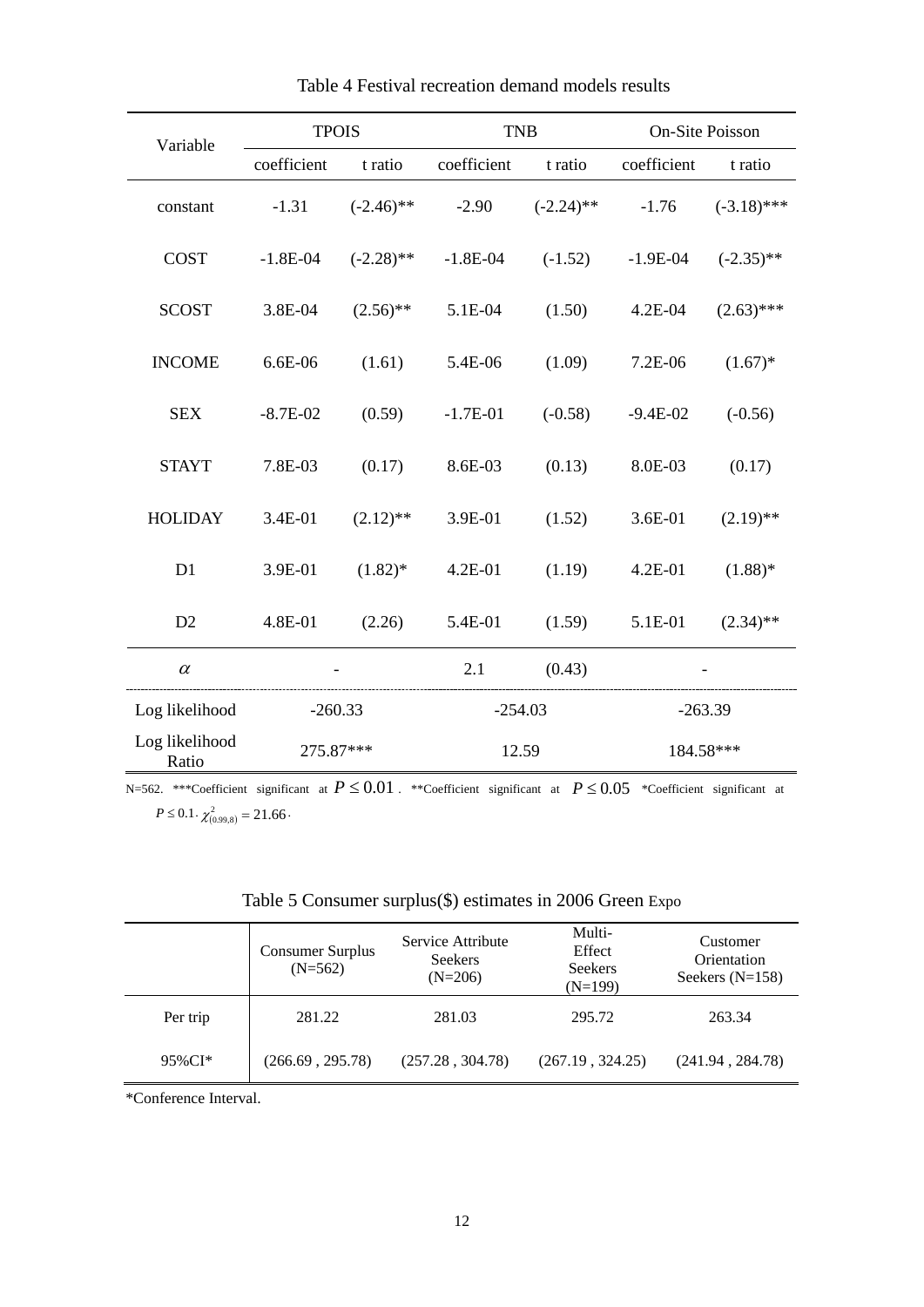| Variable                | <b>TPOIS</b> |              | <b>TNB</b>  |              | On-Site Poisson |               |
|-------------------------|--------------|--------------|-------------|--------------|-----------------|---------------|
|                         | coefficient  | t ratio      | coefficient | t ratio      | coefficient     | t ratio       |
| constant                | $-1.31$      | $(-2.46)$ ** | $-2.90$     | $(-2.24)$ ** | $-1.76$         | $(-3.18)$ *** |
| <b>COST</b>             | $-1.8E-04$   | $(-2.28)$ ** | $-1.8E-04$  | $(-1.52)$    | $-1.9E-04$      | $(-2.35)$ **  |
| <b>SCOST</b>            | 3.8E-04      | $(2.56)$ **  | 5.1E-04     | (1.50)       | $4.2E-04$       | $(2.63)$ ***  |
| <b>INCOME</b>           | 6.6E-06      | (1.61)       | 5.4E-06     | (1.09)       | 7.2E-06         | $(1.67)^*$    |
| <b>SEX</b>              | $-8.7E-02$   | (0.59)       | $-1.7E-01$  | $(-0.58)$    | $-9.4E-02$      | $(-0.56)$     |
| <b>STAYT</b>            | 7.8E-03      | (0.17)       | 8.6E-03     | (0.13)       | 8.0E-03         | (0.17)        |
| <b>HOLIDAY</b>          | 3.4E-01      | $(2.12)$ **  | 3.9E-01     | (1.52)       | 3.6E-01         | $(2.19)$ **   |
| D1                      | 3.9E-01      | $(1.82)^*$   | 4.2E-01     | (1.19)       | $4.2E - 01$     | $(1.88)$ *    |
| D2                      | 4.8E-01      | (2.26)       | 5.4E-01     | (1.59)       | 5.1E-01         | $(2.34)$ **   |
| $\alpha$                |              |              | 2.1         | (0.43)       |                 |               |
| Log likelihood          | $-260.33$    |              | $-254.03$   |              | $-263.39$       |               |
| Log likelihood<br>Ratio | 275.87***    |              | 12.59       |              | 184.58***       |               |

Table 4 Festival recreation demand models results

N=562. \*\*\*Coefficient significant at *P* ≤ 0.01 . \*\*Coefficient significant at *P* ≤ 0.05 \*Coefficient significant at  $P \le 0.1 \cdot \chi_{(0.99,8)}^2 = 21.66 \cdot$ 

| Table 5 Consumer surplus(\$) estimates in 2006 Green Expo |  |  |  |  |
|-----------------------------------------------------------|--|--|--|--|
|-----------------------------------------------------------|--|--|--|--|

|          | <b>Consumer Surplus</b><br>$(N=562)$ | Service Attribute<br><b>Seekers</b><br>$(N=206)$ | Multi-<br>Effect<br><b>Seekers</b><br>$(N=199)$ | Customer<br>Orientation<br>Seekers $(N=158)$ |
|----------|--------------------------------------|--------------------------------------------------|-------------------------------------------------|----------------------------------------------|
| Per trip | 281.22                               | 281.03                                           | 295.72                                          | 263.34                                       |
| 95%CI*   | (266.69, 295.78)                     | (257.28, 304.78)                                 | (267.19, 324.25)                                | (241.94, 284.78)                             |

\*Conference Interval.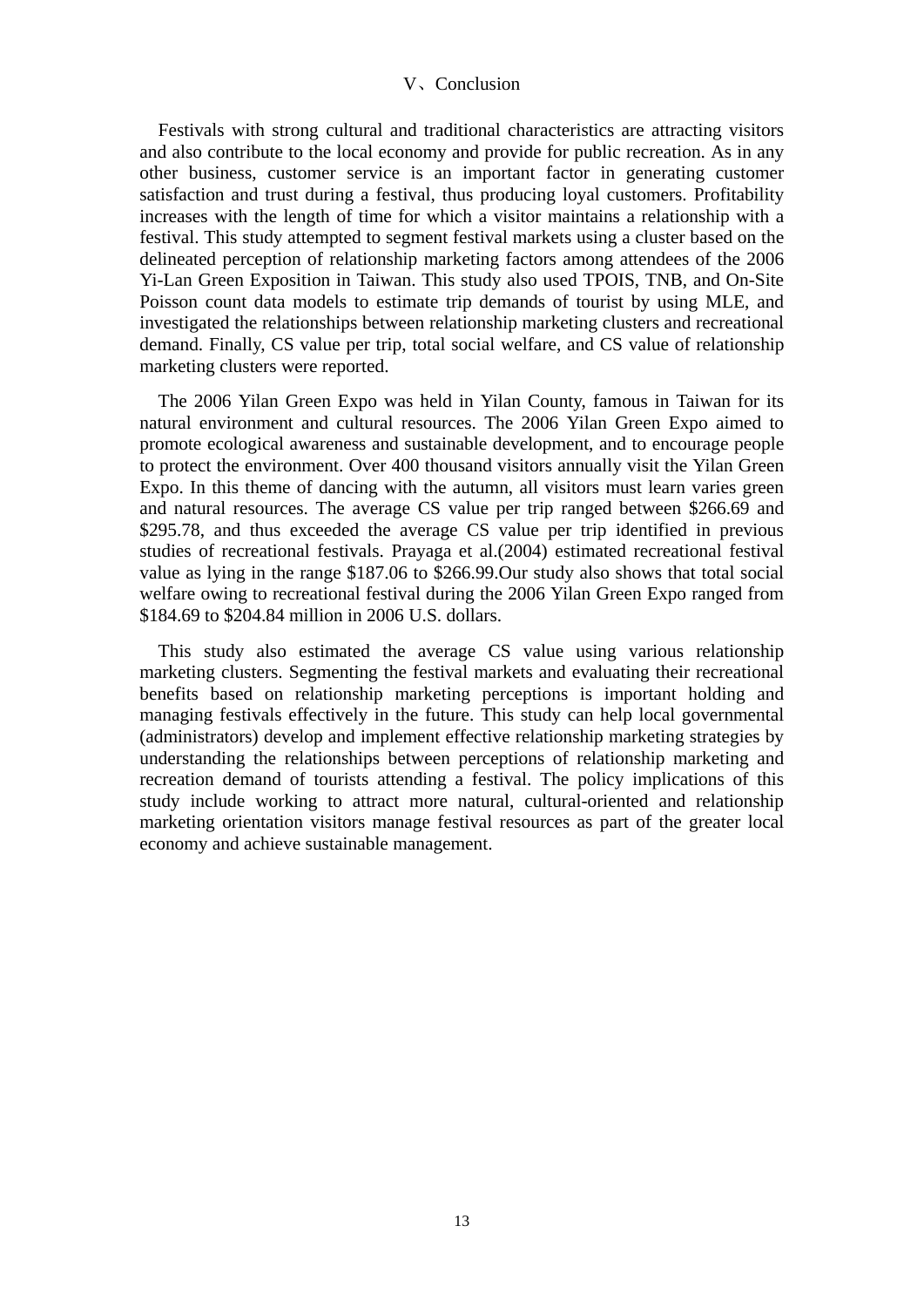# V、Conclusion

Festivals with strong cultural and traditional characteristics are attracting visitors and also contribute to the local economy and provide for public recreation. As in any other business, customer service is an important factor in generating customer satisfaction and trust during a festival, thus producing loyal customers. Profitability increases with the length of time for which a visitor maintains a relationship with a festival. This study attempted to segment festival markets using a cluster based on the delineated perception of relationship marketing factors among attendees of the 2006 Yi-Lan Green Exposition in Taiwan. This study also used TPOIS, TNB, and On-Site Poisson count data models to estimate trip demands of tourist by using MLE, and investigated the relationships between relationship marketing clusters and recreational demand. Finally, CS value per trip, total social welfare, and CS value of relationship marketing clusters were reported.

The 2006 Yilan Green Expo was held in Yilan County, famous in Taiwan for its natural environment and cultural resources. The 2006 Yilan Green Expo aimed to promote ecological awareness and sustainable development, and to encourage people to protect the environment. Over 400 thousand visitors annually visit the Yilan Green Expo. In this theme of dancing with the autumn, all visitors must learn varies green and natural resources. The average CS value per trip ranged between \$266.69 and \$295.78, and thus exceeded the average CS value per trip identified in previous studies of recreational festivals. Prayaga et al.(2004) estimated recreational festival value as lying in the range \$187.06 to \$266.99.Our study also shows that total social welfare owing to recreational festival during the 2006 Yilan Green Expo ranged from \$184.69 to \$204.84 million in 2006 U.S. dollars.

This study also estimated the average CS value using various relationship marketing clusters. Segmenting the festival markets and evaluating their recreational benefits based on relationship marketing perceptions is important holding and managing festivals effectively in the future. This study can help local governmental (administrators) develop and implement effective relationship marketing strategies by understanding the relationships between perceptions of relationship marketing and recreation demand of tourists attending a festival. The policy implications of this study include working to attract more natural, cultural-oriented and relationship marketing orientation visitors manage festival resources as part of the greater local economy and achieve sustainable management.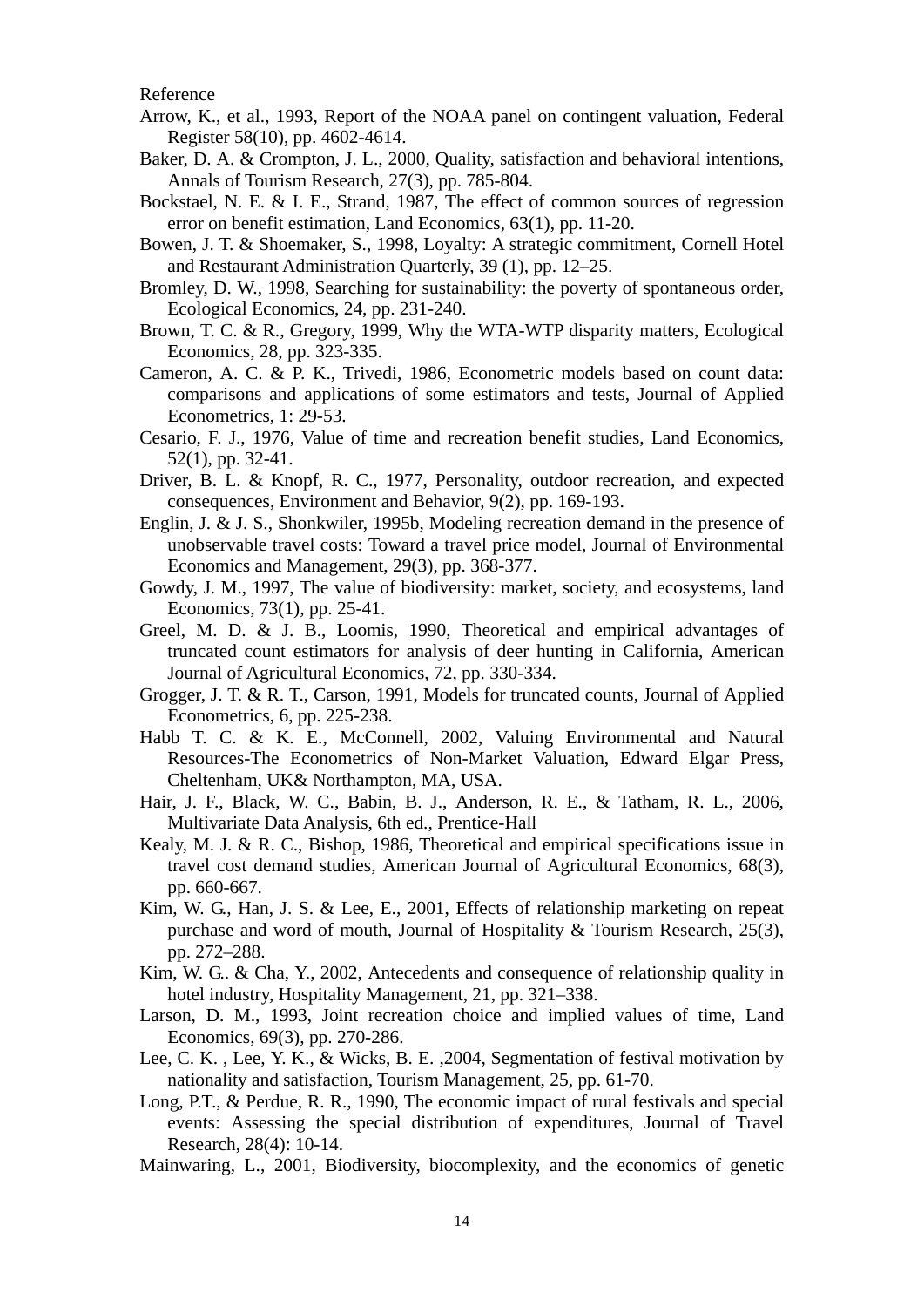Reference

- Arrow, K., et al., 1993, Report of the NOAA panel on contingent valuation, Federal Register 58(10), pp. 4602-4614.
- Baker, D. A. & Crompton, J. L., 2000, Quality, satisfaction and behavioral intentions, Annals of Tourism Research, 27(3), pp. 785-804.
- Bockstael, N. E. & I. E., Strand, 1987, The effect of common sources of regression error on benefit estimation, Land Economics, 63(1), pp. 11-20.
- Bowen, J. T. & Shoemaker, S., 1998, Loyalty: A strategic commitment, Cornell Hotel and Restaurant Administration Quarterly, 39 (1), pp. 12–25.
- Bromley, D. W., 1998, Searching for sustainability: the poverty of spontaneous order, Ecological Economics, 24, pp. 231-240.
- Brown, T. C. & R., Gregory, 1999, Why the WTA-WTP disparity matters, Ecological Economics, 28, pp. 323-335.
- Cameron, A. C. & P. K., Trivedi, 1986, Econometric models based on count data: comparisons and applications of some estimators and tests, Journal of Applied Econometrics, 1: 29-53.
- Cesario, F. J., 1976, Value of time and recreation benefit studies, Land Economics, 52(1), pp. 32-41.
- Driver, B. L. & Knopf, R. C., 1977, Personality, outdoor recreation, and expected consequences, Environment and Behavior, 9(2), pp. 169-193.
- Englin, J. & J. S., Shonkwiler, 1995b, Modeling recreation demand in the presence of unobservable travel costs: Toward a travel price model, Journal of Environmental Economics and Management, 29(3), pp. 368-377.
- Gowdy, J. M., 1997, The value of biodiversity: market, society, and ecosystems, land Economics, 73(1), pp. 25-41.
- Greel, M. D. & J. B., Loomis, 1990, Theoretical and empirical advantages of truncated count estimators for analysis of deer hunting in California, American Journal of Agricultural Economics, 72, pp. 330-334.
- Grogger, J. T. & R. T., Carson, 1991, Models for truncated counts, Journal of Applied Econometrics, 6, pp. 225-238.
- Habb T. C. & K. E., McConnell, 2002, Valuing Environmental and Natural Resources-The Econometrics of Non-Market Valuation, Edward Elgar Press, Cheltenham, UK& Northampton, MA, USA.
- Hair, J. F., Black, W. C., Babin, B. J., Anderson, R. E., & Tatham, R. L., 2006, Multivariate Data Analysis, 6th ed., Prentice-Hall
- Kealy, M. J. & R. C., Bishop, 1986, Theoretical and empirical specifications issue in travel cost demand studies, American Journal of Agricultural Economics, 68(3), pp. 660-667.
- Kim, W. G., Han, J. S. & Lee, E., 2001, Effects of relationship marketing on repeat purchase and word of mouth, Journal of Hospitality & Tourism Research, 25(3), pp. 272–288.
- Kim, W. G.. & Cha, Y., 2002, Antecedents and consequence of relationship quality in hotel industry, Hospitality Management, 21, pp. 321–338.
- Larson, D. M., 1993, Joint recreation choice and implied values of time, Land Economics, 69(3), pp. 270-286.
- Lee, C. K. , Lee, Y. K., & Wicks, B. E. ,2004, Segmentation of festival motivation by nationality and satisfaction, Tourism Management, 25, pp. 61-70.
- Long, P.T., & Perdue, R. R., 1990, The economic impact of rural festivals and special events: Assessing the special distribution of expenditures, Journal of Travel Research, 28(4): 10-14.
- Mainwaring, L., 2001, Biodiversity, biocomplexity, and the economics of genetic